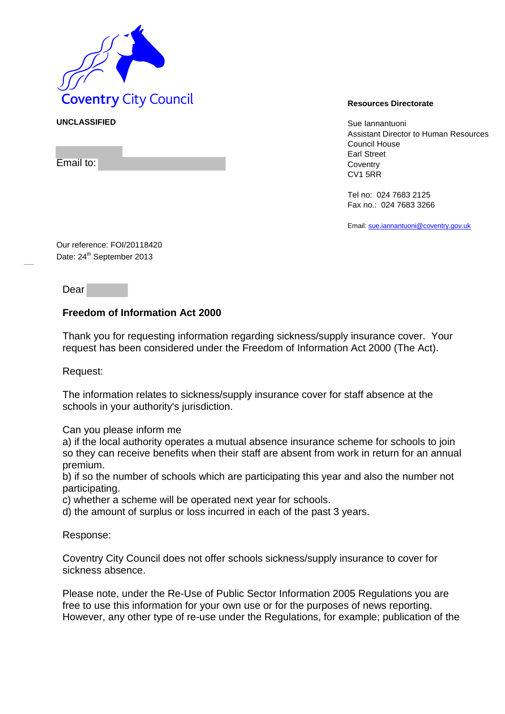

## **UNCLASSIFIED** Sue Iannantuoni

Email to:

Assistant Director to Human Resources Council House Earl Street **Coventry** CV1 5RR

Tel no: 024 7683 2125 Fax no.: 024 7683 3266

Email[: sue.iannantuoni@coventry.gov.uk](mailto:sue.iannantuoni@coventry.gov.uk)

Our reference: FOI/20118420 Date: 24<sup>th</sup> September 2013

Dear

## **Freedom of Information Act 2000**

Thank you for requesting information regarding sickness/supply insurance cover. Your request has been considered under the Freedom of Information Act 2000 (The Act).

Request:

The information relates to sickness/supply insurance cover for staff absence at the schools in your authority's jurisdiction.

Can you please inform me

a) if the local authority operates a mutual absence insurance scheme for schools to join so they can receive benefits when their staff are absent from work in return for an annual premium.

b) if so the number of schools which are participating this year and also the number not participating.

c) whether a scheme will be operated next year for schools.

d) the amount of surplus or loss incurred in each of the past 3 years.

Response:

Coventry City Council does not offer schools sickness/supply insurance to cover for sickness absence.

Please note, under the Re-Use of Public Sector Information 2005 Regulations you are free to use this information for your own use or for the purposes of news reporting. However, any other type of re-use under the Regulations, for example; publication of the